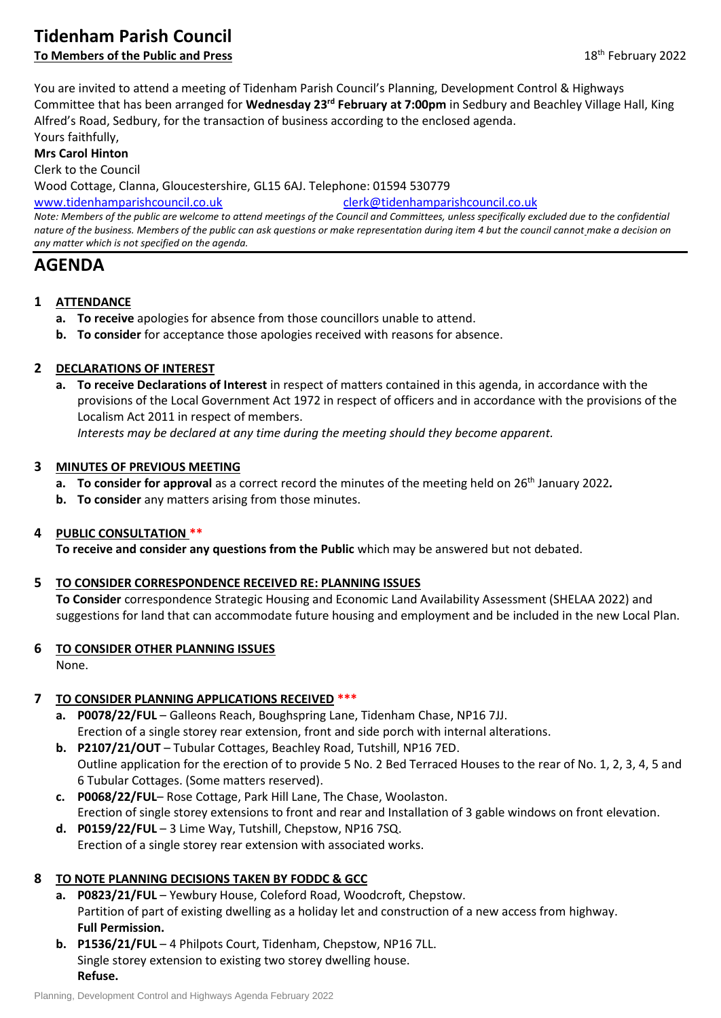# **Tidenham Parish Council**

## **To Members of the Public and Press** 18th February 2022

You are invited to attend a meeting of Tidenham Parish Council's Planning, Development Control & Highways Committee that has been arranged for **Wednesday 23rd February at 7:00pm** in Sedbury and Beachley Village Hall, King Alfred's Road, Sedbury, for the transaction of business according to the enclosed agenda.

Yours faithfully,

**Mrs Carol Hinton**

Clerk to the Council

Wood Cottage, Clanna, Gloucestershire, GL15 6AJ. Telephone: 01594 530779

[www.tidenhamparishcouncil.co.uk](http://www.tidenhamparishcouncil.co.uk/) [clerk@tidenhamparishcouncil.co.uk](mailto:clerk@tidenhamparishcouncil.co.uk)

*Note: Members of the public are welcome to attend meetings of the Council and Committees, unless specifically excluded due to the confidential nature of the business. Members of the public can ask questions or make representation during item 4 but the council cannot make a decision on any matter which is not specified on the agenda.*

## **AGENDA**

#### **1 ATTENDANCE**

- **a. To receive** apologies for absence from those councillors unable to attend.
- **b. To consider** for acceptance those apologies received with reasons for absence.

#### **2 DECLARATIONS OF INTEREST**

**a. To receive Declarations of Interest** in respect of matters contained in this agenda, in accordance with the provisions of the Local Government Act 1972 in respect of officers and in accordance with the provisions of the Localism Act 2011 in respect of members.

*Interests may be declared at any time during the meeting should they become apparent.*

#### **3 MINUTES OF PREVIOUS MEETING**

- **a. To consider for approval** as a correct record the minutes of the meeting held on 26th January 2022*.*
- **b. To consider** any matters arising from those minutes.

#### **4 PUBLIC CONSULTATION \*\***

**To receive and consider any questions from the Public** which may be answered but not debated.

#### **5 TO CONSIDER CORRESPONDENCE RECEIVED RE: PLANNING ISSUES**

**To Consider** correspondence Strategic Housing and Economic Land Availability Assessment (SHELAA 2022) and suggestions for land that can accommodate future housing and employment and be included in the new Local Plan.

#### **6 TO CONSIDER OTHER PLANNING ISSUES**

None.

## **7 TO CONSIDER PLANNING APPLICATIONS RECEIVED \*\*\***

- **a. P0078/22/FUL** Galleons Reach, Boughspring Lane, Tidenham Chase, NP16 7JJ. Erection of a single storey rear extension, front and side porch with internal alterations.
- **b. P2107/21/OUT** Tubular Cottages, Beachley Road, Tutshill, NP16 7ED. Outline application for the erection of to provide 5 No. 2 Bed Terraced Houses to the rear of No. 1, 2, 3, 4, 5 and 6 Tubular Cottages. (Some matters reserved).
- **c. P0068/22/FUL** Rose Cottage, Park Hill Lane, The Chase, Woolaston. Erection of single storey extensions to front and rear and Installation of 3 gable windows on front elevation. **d. P0159/22/FUL** – 3 Lime Way, Tutshill, Chepstow, NP16 7SQ.
- Erection of a single storey rear extension with associated works.

## **8 TO NOTE PLANNING DECISIONS TAKEN BY FODDC & GCC**

- **a. P0823/21/FUL**  Yewbury House, Coleford Road, Woodcroft, Chepstow. Partition of part of existing dwelling as a holiday let and construction of a new access from highway. **Full Permission.**
- **b. P1536/21/FUL** 4 Philpots Court, Tidenham, Chepstow, NP16 7LL. Single storey extension to existing two storey dwelling house. **Refuse.**